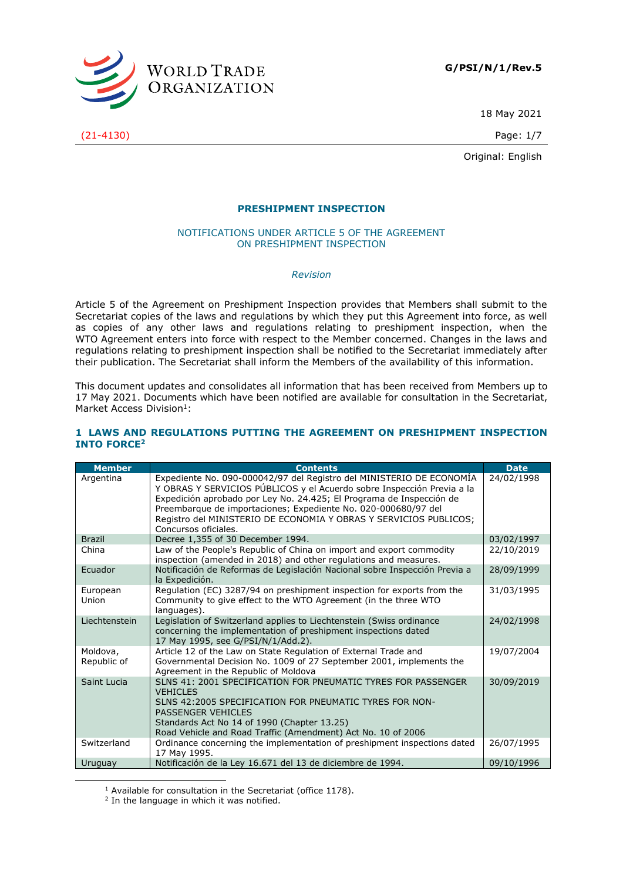

18 May 2021

Original: English

### **PRESHIPMENT INSPECTION**

#### NOTIFICATIONS UNDER ARTICLE 5 OF THE AGREEMENT ON PRESHIPMENT INSPECTION

*Revision*

Article 5 of the Agreement on Preshipment Inspection provides that Members shall submit to the Secretariat copies of the laws and regulations by which they put this Agreement into force, as well as copies of any other laws and regulations relating to preshipment inspection, when the WTO Agreement enters into force with respect to the Member concerned. Changes in the laws and regulations relating to preshipment inspection shall be notified to the Secretariat immediately after their publication. The Secretariat shall inform the Members of the availability of this information.

This document updates and consolidates all information that has been received from Members up to 17 May 2021. Documents which have been notified are available for consultation in the Secretariat, Market Access Division<sup>1</sup>:

#### **1 LAWS AND REGULATIONS PUTTING THE AGREEMENT ON PRESHIPMENT INSPECTION INTO FORCE<sup>2</sup>**

| <b>Member</b>           | <b>Contents</b>                                                                                                                                                                                                                                                                                                                                                                       | <b>Date</b> |
|-------------------------|---------------------------------------------------------------------------------------------------------------------------------------------------------------------------------------------------------------------------------------------------------------------------------------------------------------------------------------------------------------------------------------|-------------|
| Argentina               | Expediente No. 090-000042/97 del Registro del MINISTERIO DE ECONOMÍA<br>Y OBRAS Y SERVICIOS PÚBLICOS y el Acuerdo sobre Inspección Previa a la<br>Expedición aprobado por Ley No. 24.425; El Programa de Inspección de<br>Preembarque de importaciones; Expediente No. 020-000680/97 del<br>Registro del MINISTERIO DE ECONOMIA Y OBRAS Y SERVICIOS PUBLICOS;<br>Concursos oficiales. | 24/02/1998  |
| <b>Brazil</b>           | Decree 1,355 of 30 December 1994.                                                                                                                                                                                                                                                                                                                                                     | 03/02/1997  |
| China                   | Law of the People's Republic of China on import and export commodity<br>inspection (amended in 2018) and other regulations and measures.                                                                                                                                                                                                                                              | 22/10/2019  |
| Ecuador                 | Notificación de Reformas de Legislación Nacional sobre Inspección Previa a<br>la Expedición.                                                                                                                                                                                                                                                                                          | 28/09/1999  |
| European<br>Union       | Regulation (EC) 3287/94 on preshipment inspection for exports from the<br>Community to give effect to the WTO Agreement (in the three WTO<br>languages).                                                                                                                                                                                                                              | 31/03/1995  |
| Liechtenstein           | Legislation of Switzerland applies to Liechtenstein (Swiss ordinance<br>concerning the implementation of preshipment inspections dated<br>17 May 1995, see G/PSI/N/1/Add.2).                                                                                                                                                                                                          | 24/02/1998  |
| Moldova,<br>Republic of | Article 12 of the Law on State Regulation of External Trade and<br>Governmental Decision No. 1009 of 27 September 2001, implements the<br>Agreement in the Republic of Moldova                                                                                                                                                                                                        | 19/07/2004  |
| Saint Lucia             | SLNS 41: 2001 SPECIFICATION FOR PNEUMATIC TYRES FOR PASSENGER<br><b>VEHICLES</b><br>SLNS 42:2005 SPECIFICATION FOR PNEUMATIC TYRES FOR NON-<br><b>PASSENGER VEHICLES</b><br>Standards Act No 14 of 1990 (Chapter 13.25)<br>Road Vehicle and Road Traffic (Amendment) Act No. 10 of 2006                                                                                               | 30/09/2019  |
| Switzerland             | Ordinance concerning the implementation of preshipment inspections dated<br>17 May 1995.                                                                                                                                                                                                                                                                                              | 26/07/1995  |
| Uruguay                 | Notificación de la Ley 16.671 del 13 de diciembre de 1994.                                                                                                                                                                                                                                                                                                                            | 09/10/1996  |

<sup>&</sup>lt;sup>1</sup> Available for consultation in the Secretariat (office 1178).

(21-4130) Page: 1/7

 $2$  In the language in which it was notified.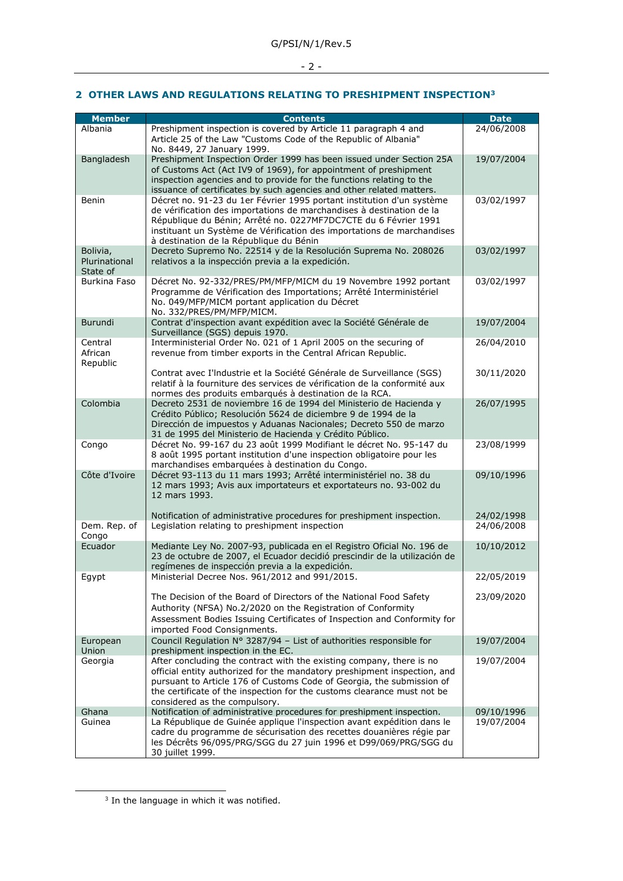# - 2 -

### **2 OTHER LAWS AND REGULATIONS RELATING TO PRESHIPMENT INSPECTION<sup>3</sup>**

| <b>Member</b>                         | <b>Contents</b>                                                                                                                                                                                                                                                                                                                       | <b>Date</b> |
|---------------------------------------|---------------------------------------------------------------------------------------------------------------------------------------------------------------------------------------------------------------------------------------------------------------------------------------------------------------------------------------|-------------|
| Albania                               | Preshipment inspection is covered by Article 11 paragraph 4 and<br>Article 25 of the Law "Customs Code of the Republic of Albania"<br>No. 8449, 27 January 1999.                                                                                                                                                                      | 24/06/2008  |
| Bangladesh                            | Preshipment Inspection Order 1999 has been issued under Section 25A<br>of Customs Act (Act IV9 of 1969), for appointment of preshipment<br>inspection agencies and to provide for the functions relating to the<br>issuance of certificates by such agencies and other related matters.                                               | 19/07/2004  |
| Benin                                 | Décret no. 91-23 du 1er Février 1995 portant institution d'un système<br>de vérification des importations de marchandises à destination de la<br>République du Bénin; Arrêté no. 0227MF7DC7CTE du 6 Février 1991<br>instituant un Système de Vérification des importations de marchandises<br>à destination de la République du Bénin | 03/02/1997  |
| Bolivia,<br>Plurinational<br>State of | Decreto Supremo No. 22514 y de la Resolución Suprema No. 208026<br>relativos a la inspección previa a la expedición.                                                                                                                                                                                                                  | 03/02/1997  |
| Burkina Faso                          | Décret No. 92-332/PRES/PM/MFP/MICM du 19 Novembre 1992 portant<br>Programme de Vérification des Importations; Arrêté Interministériel<br>No. 049/MFP/MICM portant application du Décret<br>No. 332/PRES/PM/MFP/MICM.                                                                                                                  | 03/02/1997  |
| Burundi                               | Contrat d'inspection avant expédition avec la Société Générale de<br>Surveillance (SGS) depuis 1970.                                                                                                                                                                                                                                  | 19/07/2004  |
| Central<br>African<br>Republic        | Interministerial Order No. 021 of 1 April 2005 on the securing of<br>revenue from timber exports in the Central African Republic.                                                                                                                                                                                                     | 26/04/2010  |
|                                       | Contrat avec I'Industrie et la Société Générale de Surveillance (SGS)<br>relatif à la fourniture des services de vérification de la conformité aux<br>normes des produits embarqués à destination de la RCA.                                                                                                                          | 30/11/2020  |
| Colombia                              | Decreto 2531 de noviembre 16 de 1994 del Ministerio de Hacienda y<br>Crédito Público; Resolución 5624 de diciembre 9 de 1994 de la<br>Dirección de impuestos y Aduanas Nacionales; Decreto 550 de marzo<br>31 de 1995 del Ministerio de Hacienda y Crédito Público.                                                                   | 26/07/1995  |
| Congo                                 | Décret No. 99-167 du 23 août 1999 Modifiant le décret No. 95-147 du<br>8 août 1995 portant institution d'une inspection obligatoire pour les<br>marchandises embarquées à destination du Congo.                                                                                                                                       | 23/08/1999  |
| Côte d'Ivoire                         | Décret 93-113 du 11 mars 1993; Arrêté interministériel no. 38 du<br>12 mars 1993; Avis aux importateurs et exportateurs no. 93-002 du<br>12 mars 1993.                                                                                                                                                                                | 09/10/1996  |
|                                       | Notification of administrative procedures for preshipment inspection.                                                                                                                                                                                                                                                                 | 24/02/1998  |
| Dem. Rep. of<br>Congo                 | Legislation relating to preshipment inspection                                                                                                                                                                                                                                                                                        | 24/06/2008  |
| Ecuador                               | Mediante Ley No. 2007-93, publicada en el Registro Oficial No. 196 de<br>23 de octubre de 2007, el Ecuador decidió prescindir de la utilización de<br>regímenes de inspección previa a la expedición.                                                                                                                                 | 10/10/2012  |
| Egypt                                 | Ministerial Decree Nos. 961/2012 and 991/2015.                                                                                                                                                                                                                                                                                        | 22/05/2019  |
|                                       | The Decision of the Board of Directors of the National Food Safety<br>Authority (NFSA) No.2/2020 on the Registration of Conformity<br>Assessment Bodies Issuing Certificates of Inspection and Conformity for<br>imported Food Consignments.                                                                                          | 23/09/2020  |
| European<br>Union                     | Council Regulation Nº 3287/94 − List of authorities responsible for<br>preshipment inspection in the EC.                                                                                                                                                                                                                              | 19/07/2004  |
| Georgia                               | After concluding the contract with the existing company, there is no<br>official entity authorized for the mandatory preshipment inspection, and<br>pursuant to Article 176 of Customs Code of Georgia, the submission of<br>the certificate of the inspection for the customs clearance must not be<br>considered as the compulsory. | 19/07/2004  |
| Ghana                                 | Notification of administrative procedures for preshipment inspection.                                                                                                                                                                                                                                                                 | 09/10/1996  |
| Guinea                                | La République de Guinée applique l'inspection avant expédition dans le<br>cadre du programme de sécurisation des recettes douanières régie par<br>les Décrêts 96/095/PRG/SGG du 27 juin 1996 et D99/069/PRG/SGG du<br>30 juillet 1999.                                                                                                | 19/07/2004  |

 $3$  In the language in which it was notified.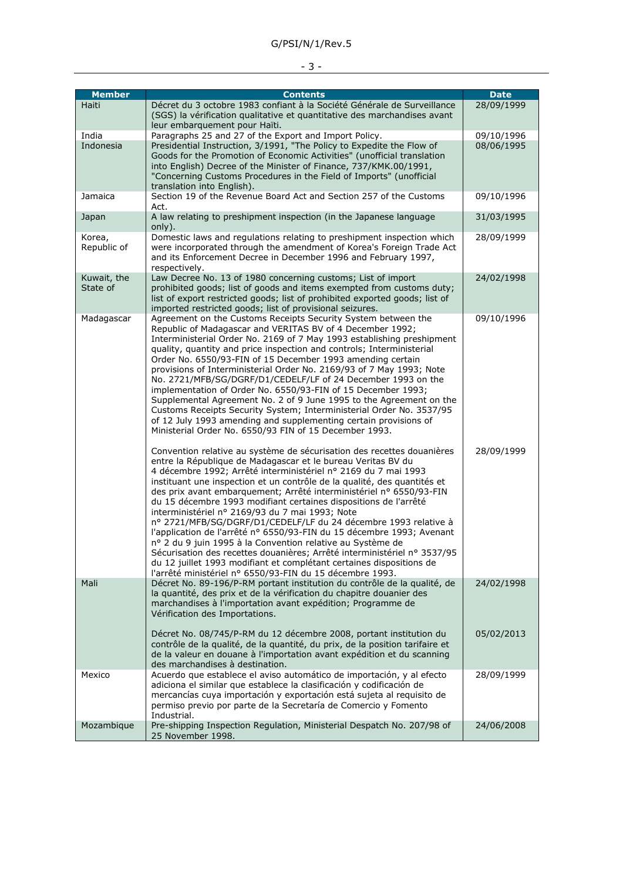| <b>Member</b>           | <b>Contents</b>                                                                                                                                                                                                                                                                                                                                                                                                                                                                                                                                                                                                                                                                                                                                                                                                                                                                                              | <b>Date</b> |
|-------------------------|--------------------------------------------------------------------------------------------------------------------------------------------------------------------------------------------------------------------------------------------------------------------------------------------------------------------------------------------------------------------------------------------------------------------------------------------------------------------------------------------------------------------------------------------------------------------------------------------------------------------------------------------------------------------------------------------------------------------------------------------------------------------------------------------------------------------------------------------------------------------------------------------------------------|-------------|
| Haiti                   | Décret du 3 octobre 1983 confiant à la Société Générale de Surveillance<br>(SGS) la vérification qualitative et quantitative des marchandises avant<br>leur embarquement pour Haïti.                                                                                                                                                                                                                                                                                                                                                                                                                                                                                                                                                                                                                                                                                                                         | 28/09/1999  |
| India                   | Paragraphs 25 and 27 of the Export and Import Policy.                                                                                                                                                                                                                                                                                                                                                                                                                                                                                                                                                                                                                                                                                                                                                                                                                                                        | 09/10/1996  |
| Indonesia               | Presidential Instruction, 3/1991, "The Policy to Expedite the Flow of<br>Goods for the Promotion of Economic Activities" (unofficial translation<br>into English) Decree of the Minister of Finance, 737/KMK.00/1991,<br>"Concerning Customs Procedures in the Field of Imports" (unofficial<br>translation into English).                                                                                                                                                                                                                                                                                                                                                                                                                                                                                                                                                                                   | 08/06/1995  |
| Jamaica                 | Section 19 of the Revenue Board Act and Section 257 of the Customs<br>Act.                                                                                                                                                                                                                                                                                                                                                                                                                                                                                                                                                                                                                                                                                                                                                                                                                                   | 09/10/1996  |
| Japan                   | A law relating to preshipment inspection (in the Japanese language<br>only).                                                                                                                                                                                                                                                                                                                                                                                                                                                                                                                                                                                                                                                                                                                                                                                                                                 | 31/03/1995  |
| Korea,<br>Republic of   | Domestic laws and regulations relating to preshipment inspection which<br>were incorporated through the amendment of Korea's Foreign Trade Act<br>and its Enforcement Decree in December 1996 and February 1997,<br>respectively.                                                                                                                                                                                                                                                                                                                                                                                                                                                                                                                                                                                                                                                                            | 28/09/1999  |
| Kuwait, the<br>State of | Law Decree No. 13 of 1980 concerning customs; List of import<br>prohibited goods; list of goods and items exempted from customs duty;<br>list of export restricted goods; list of prohibited exported goods; list of<br>imported restricted goods; list of provisional seizures.                                                                                                                                                                                                                                                                                                                                                                                                                                                                                                                                                                                                                             | 24/02/1998  |
| Madagascar              | Agreement on the Customs Receipts Security System between the<br>Republic of Madagascar and VERITAS BV of 4 December 1992;<br>Interministerial Order No. 2169 of 7 May 1993 establishing preshipment<br>quality, quantity and price inspection and controls; Interministerial<br>Order No. 6550/93-FIN of 15 December 1993 amending certain<br>provisions of Interministerial Order No. 2169/93 of 7 May 1993; Note<br>No. 2721/MFB/SG/DGRF/D1/CEDELF/LF of 24 December 1993 on the<br>implementation of Order No. 6550/93-FIN of 15 December 1993;<br>Supplemental Agreement No. 2 of 9 June 1995 to the Agreement on the<br>Customs Receipts Security System; Interministerial Order No. 3537/95<br>of 12 July 1993 amending and supplementing certain provisions of<br>Ministerial Order No. 6550/93 FIN of 15 December 1993.                                                                             | 09/10/1996  |
|                         | Convention relative au système de sécurisation des recettes douanières<br>entre la République de Madagascar et le bureau Veritas BV du<br>4 décembre 1992; Arrêté interministériel nº 2169 du 7 mai 1993<br>instituant une inspection et un contrôle de la qualité, des quantités et<br>des prix avant embarquement; Arrêté interministériel nº 6550/93-FIN<br>du 15 décembre 1993 modifiant certaines dispositions de l'arrêté<br>interministériel nº 2169/93 du 7 mai 1993; Note<br>nº 2721/MFB/SG/DGRF/D1/CEDELF/LF du 24 décembre 1993 relative à<br>l'application de l'arrêté nº 6550/93-FIN du 15 décembre 1993; Avenant<br>nº 2 du 9 juin 1995 à la Convention relative au Système de<br>Sécurisation des recettes douanières; Arrêté interministériel nº 3537/95<br>du 12 juillet 1993 modifiant et complétant certaines dispositions de<br>l'arrêté ministériel nº 6550/93-FIN du 15 décembre 1993. | 28/09/1999  |
| Mali                    | Décret No. 89-196/P-RM portant institution du contrôle de la qualité, de<br>la quantité, des prix et de la vérification du chapitre douanier des<br>marchandises à l'importation avant expédition; Programme de<br>Vérification des Importations.                                                                                                                                                                                                                                                                                                                                                                                                                                                                                                                                                                                                                                                            | 24/02/1998  |
|                         | Décret No. 08/745/P-RM du 12 décembre 2008, portant institution du<br>contrôle de la qualité, de la quantité, du prix, de la position tarifaire et<br>de la valeur en douane à l'importation avant expédition et du scanning<br>des marchandises à destination.                                                                                                                                                                                                                                                                                                                                                                                                                                                                                                                                                                                                                                              | 05/02/2013  |
| Mexico                  | Acuerdo que establece el aviso automático de importación, y al efecto<br>adiciona el similar que establece la clasificación y codificación de<br>mercancías cuya importación y exportación está sujeta al requisito de<br>permiso previo por parte de la Secretaría de Comercio y Fomento<br>Industrial.                                                                                                                                                                                                                                                                                                                                                                                                                                                                                                                                                                                                     | 28/09/1999  |
| Mozambique              | Pre-shipping Inspection Regulation, Ministerial Despatch No. 207/98 of<br>25 November 1998.                                                                                                                                                                                                                                                                                                                                                                                                                                                                                                                                                                                                                                                                                                                                                                                                                  | 24/06/2008  |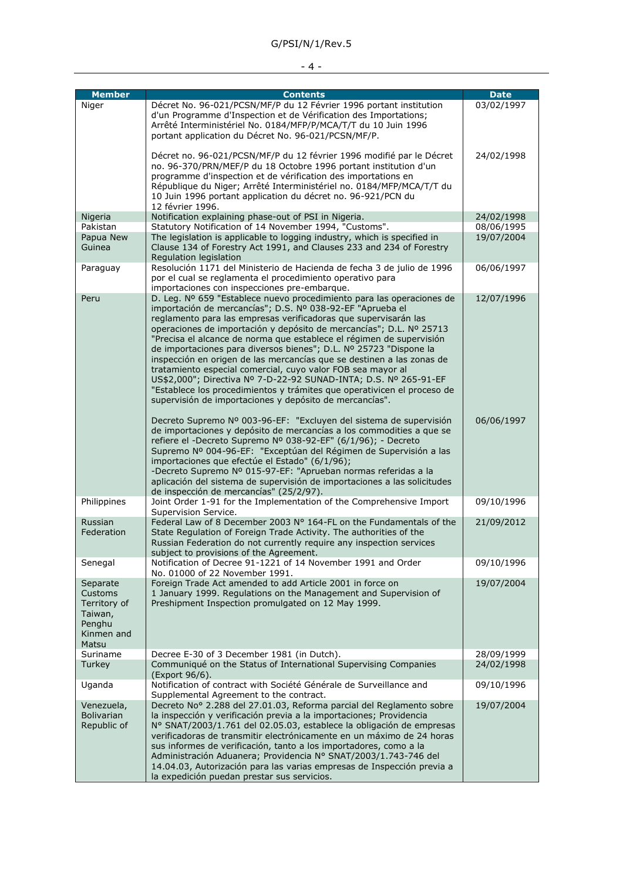# - 4 -

| <b>Member</b>                                                                   | <b>Contents</b>                                                                                                                                                                                                                                                                                                                                                                                                                                                                                                                                                                                                                                                                                                                                                             | <b>Date</b> |
|---------------------------------------------------------------------------------|-----------------------------------------------------------------------------------------------------------------------------------------------------------------------------------------------------------------------------------------------------------------------------------------------------------------------------------------------------------------------------------------------------------------------------------------------------------------------------------------------------------------------------------------------------------------------------------------------------------------------------------------------------------------------------------------------------------------------------------------------------------------------------|-------------|
| Niger                                                                           | Décret No. 96-021/PCSN/MF/P du 12 Février 1996 portant institution<br>d'un Programme d'Inspection et de Vérification des Importations;<br>Arrêté Interministériel No. 0184/MFP/P/MCA/T/T du 10 Juin 1996<br>portant application du Décret No. 96-021/PCSN/MF/P.                                                                                                                                                                                                                                                                                                                                                                                                                                                                                                             | 03/02/1997  |
|                                                                                 | Décret no. 96-021/PCSN/MF/P du 12 février 1996 modifié par le Décret<br>no. 96-370/PRN/MEF/P du 18 Octobre 1996 portant institution d'un<br>programme d'inspection et de vérification des importations en<br>République du Niger; Arrêté Interministériel no. 0184/MFP/MCA/T/T du<br>10 Juin 1996 portant application du décret no. 96-921/PCN du<br>12 février 1996.                                                                                                                                                                                                                                                                                                                                                                                                       | 24/02/1998  |
| Nigeria                                                                         | Notification explaining phase-out of PSI in Nigeria.                                                                                                                                                                                                                                                                                                                                                                                                                                                                                                                                                                                                                                                                                                                        | 24/02/1998  |
| Pakistan                                                                        | Statutory Notification of 14 November 1994, "Customs".                                                                                                                                                                                                                                                                                                                                                                                                                                                                                                                                                                                                                                                                                                                      | 08/06/1995  |
| Papua New<br>Guinea                                                             | The legislation is applicable to logging industry, which is specified in<br>Clause 134 of Forestry Act 1991, and Clauses 233 and 234 of Forestry<br>Regulation legislation                                                                                                                                                                                                                                                                                                                                                                                                                                                                                                                                                                                                  | 19/07/2004  |
| Paraguay                                                                        | Resolución 1171 del Ministerio de Hacienda de fecha 3 de julio de 1996<br>por el cual se reglamenta el procedimiento operativo para<br>importaciones con inspecciones pre-embarque.                                                                                                                                                                                                                                                                                                                                                                                                                                                                                                                                                                                         | 06/06/1997  |
| Peru                                                                            | D. Leg. Nº 659 "Establece nuevo procedimiento para las operaciones de<br>importación de mercancías"; D.S. Nº 038-92-EF "Aprueba el<br>reglamento para las empresas verificadoras que supervisarán las<br>operaciones de importación y depósito de mercancías"; D.L. Nº 25713<br>"Precisa el alcance de norma que establece el régimen de supervisión<br>de importaciones para diversos bienes"; D.L. Nº 25723 "Dispone la<br>inspección en origen de las mercancías que se destinen a las zonas de<br>tratamiento especial comercial, cuyo valor FOB sea mayor al<br>US\$2,000"; Directiva Nº 7-D-22-92 SUNAD-INTA; D.S. Nº 265-91-EF<br>"Establece los procedimientos y trámites que operativicen el proceso de<br>supervisión de importaciones y depósito de mercancías". | 12/07/1996  |
|                                                                                 | Decreto Supremo Nº 003-96-EF: "Excluyen del sistema de supervisión<br>de importaciones y depósito de mercancías a los commodities a que se<br>refiere el -Decreto Supremo Nº 038-92-EF" (6/1/96); - Decreto<br>Supremo Nº 004-96-EF: "Exceptúan del Régimen de Supervisión a las<br>importaciones que efectúe el Estado" (6/1/96);<br>-Decreto Supremo Nº 015-97-EF: "Aprueban normas referidas a la<br>aplicación del sistema de supervisión de importaciones a las solicitudes<br>de inspección de mercancías" (25/2/97).                                                                                                                                                                                                                                                 | 06/06/1997  |
| Philippines                                                                     | Joint Order 1-91 for the Implementation of the Comprehensive Import<br>Supervision Service.                                                                                                                                                                                                                                                                                                                                                                                                                                                                                                                                                                                                                                                                                 | 09/10/1996  |
| Russian<br>Federation                                                           | Federal Law of 8 December 2003 N° 164-FL on the Fundamentals of the<br>State Regulation of Foreign Trade Activity. The authorities of the<br>Russian Federation do not currently require any inspection services<br>subject to provisions of the Agreement.                                                                                                                                                                                                                                                                                                                                                                                                                                                                                                                 | 21/09/2012  |
| Senegal                                                                         | Notification of Decree 91-1221 of 14 November 1991 and Order<br>No. 01000 of 22 November 1991.                                                                                                                                                                                                                                                                                                                                                                                                                                                                                                                                                                                                                                                                              | 09/10/1996  |
| Separate<br>Customs<br>Territory of<br>Taiwan,<br>Penghu<br>Kinmen and<br>Matsu | Foreign Trade Act amended to add Article 2001 in force on<br>1 January 1999. Regulations on the Management and Supervision of<br>Preshipment Inspection promulgated on 12 May 1999.                                                                                                                                                                                                                                                                                                                                                                                                                                                                                                                                                                                         | 19/07/2004  |
| Suriname                                                                        | Decree E-30 of 3 December 1981 (in Dutch).                                                                                                                                                                                                                                                                                                                                                                                                                                                                                                                                                                                                                                                                                                                                  | 28/09/1999  |
| Turkey                                                                          | Communiqué on the Status of International Supervising Companies<br>(Export 96/6).                                                                                                                                                                                                                                                                                                                                                                                                                                                                                                                                                                                                                                                                                           | 24/02/1998  |
| Uganda                                                                          | Notification of contract with Société Générale de Surveillance and<br>Supplemental Agreement to the contract.                                                                                                                                                                                                                                                                                                                                                                                                                                                                                                                                                                                                                                                               | 09/10/1996  |
| Venezuela,<br><b>Bolivarian</b><br>Republic of                                  | Decreto No° 2.288 del 27.01.03, Reforma parcial del Reglamento sobre<br>la inspección y verificación previa a la importaciones; Providencia<br>Nº SNAT/2003/1.761 del 02.05.03, establece la obligación de empresas<br>verificadoras de transmitir electrónicamente en un máximo de 24 horas<br>sus informes de verificación, tanto a los importadores, como a la<br>Administración Aduanera; Providencia Nº SNAT/2003/1.743-746 del<br>14.04.03, Autorización para las varias empresas de Inspección previa a<br>la expedición puedan prestar sus servicios.                                                                                                                                                                                                               | 19/07/2004  |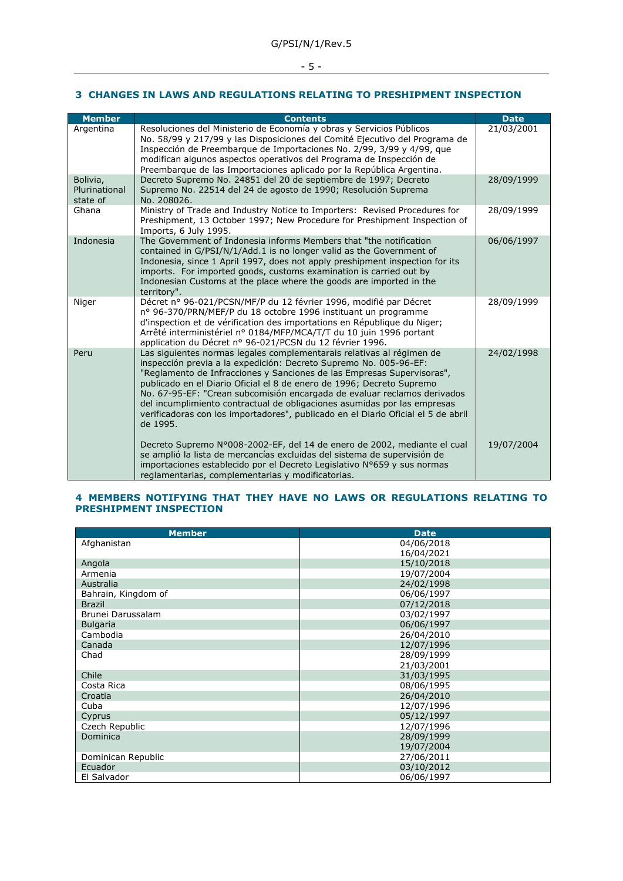### - 5 -

### **3 CHANGES IN LAWS AND REGULATIONS RELATING TO PRESHIPMENT INSPECTION**

| <b>Member</b>                         | <b>Contents</b>                                                                                                                                                                                                                                                                                                                                                                                                                                                                                                                                        | <b>Date</b> |
|---------------------------------------|--------------------------------------------------------------------------------------------------------------------------------------------------------------------------------------------------------------------------------------------------------------------------------------------------------------------------------------------------------------------------------------------------------------------------------------------------------------------------------------------------------------------------------------------------------|-------------|
| Argentina                             | Resoluciones del Ministerio de Economía y obras y Servicios Públicos<br>No. 58/99 y 217/99 y las Disposiciones del Comité Ejecutivo del Programa de<br>Inspección de Preembarque de Importaciones No. 2/99, 3/99 y 4/99, que<br>modifican algunos aspectos operativos del Programa de Inspección de<br>Preembarque de las Importaciones aplicado por la República Argentina.                                                                                                                                                                           | 21/03/2001  |
| Bolivia,<br>Plurinational<br>state of | Decreto Supremo No. 24851 del 20 de septiembre de 1997; Decreto<br>Supremo No. 22514 del 24 de agosto de 1990; Resolución Suprema<br>No. 208026.                                                                                                                                                                                                                                                                                                                                                                                                       | 28/09/1999  |
| Ghana                                 | Ministry of Trade and Industry Notice to Importers: Revised Procedures for<br>Preshipment, 13 October 1997; New Procedure for Preshipment Inspection of<br>Imports, 6 July 1995.                                                                                                                                                                                                                                                                                                                                                                       | 28/09/1999  |
| Indonesia                             | The Government of Indonesia informs Members that "the notification<br>contained in G/PSI/N/1/Add.1 is no longer valid as the Government of<br>Indonesia, since 1 April 1997, does not apply preshipment inspection for its<br>imports. For imported goods, customs examination is carried out by<br>Indonesian Customs at the place where the goods are imported in the<br>territory".                                                                                                                                                                 | 06/06/1997  |
| Niger                                 | Décret nº 96-021/PCSN/MF/P du 12 février 1996, modifié par Décret<br>nº 96-370/PRN/MEF/P du 18 octobre 1996 instituant un programme<br>d'inspection et de vérification des importations en République du Niger;<br>Arrêté interministériel nº 0184/MFP/MCA/T/T du 10 juin 1996 portant<br>application du Décret nº 96-021/PCSN du 12 février 1996.                                                                                                                                                                                                     | 28/09/1999  |
| Peru                                  | Las siguientes normas legales complementarais relativas al régimen de<br>inspección previa a la expedición: Decreto Supremo No. 005-96-EF:<br>"Reglamento de Infracciones y Sanciones de las Empresas Supervisoras",<br>publicado en el Diario Oficial el 8 de enero de 1996; Decreto Supremo<br>No. 67-95-EF: "Crean subcomisión encargada de evaluar reclamos derivados<br>del incumplimiento contractual de obligaciones asumidas por las empresas<br>verificadoras con los importadores", publicado en el Diario Oficial el 5 de abril<br>de 1995. | 24/02/1998  |
|                                       | Decreto Supremo N°008-2002-EF, del 14 de enero de 2002, mediante el cual<br>se amplió la lista de mercancías excluidas del sistema de supervisión de<br>importaciones establecido por el Decreto Legislativo Nº659 y sus normas<br>reglamentarias, complementarias y modificatorias.                                                                                                                                                                                                                                                                   | 19/07/2004  |

### **4 MEMBERS NOTIFYING THAT THEY HAVE NO LAWS OR REGULATIONS RELATING TO PRESHIPMENT INSPECTION**

| <b>Member</b>       | <b>Date</b> |
|---------------------|-------------|
| Afghanistan         | 04/06/2018  |
|                     | 16/04/2021  |
| Angola              | 15/10/2018  |
| Armenia             | 19/07/2004  |
| Australia           | 24/02/1998  |
| Bahrain, Kingdom of | 06/06/1997  |
| <b>Brazil</b>       | 07/12/2018  |
| Brunei Darussalam   | 03/02/1997  |
| <b>Bulgaria</b>     | 06/06/1997  |
| Cambodia            | 26/04/2010  |
| Canada              | 12/07/1996  |
| Chad                | 28/09/1999  |
|                     | 21/03/2001  |
| Chile               | 31/03/1995  |
| Costa Rica          | 08/06/1995  |
| Croatia             | 26/04/2010  |
| Cuba                | 12/07/1996  |
| Cyprus              | 05/12/1997  |
| Czech Republic      | 12/07/1996  |
| Dominica            | 28/09/1999  |
|                     | 19/07/2004  |
| Dominican Republic  | 27/06/2011  |
| Ecuador             | 03/10/2012  |
| El Salvador         | 06/06/1997  |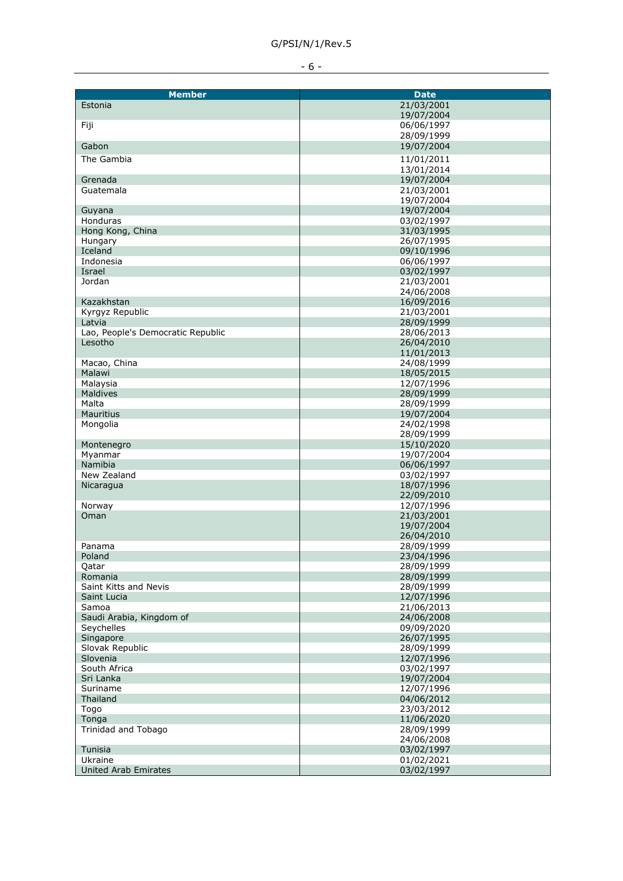| 21/03/2001<br>Estonia<br>19/07/2004<br>06/06/1997<br>Fiji<br>28/09/1999<br>19/07/2004<br>Gabon<br>The Gambia<br>11/01/2011<br>13/01/2014<br>19/07/2004<br>Grenada<br>Guatemala<br>21/03/2001<br>19/07/2004<br>19/07/2004<br>Guyana<br>03/02/1997<br>Honduras<br>Hong Kong, China<br>31/03/1995<br>Hungary<br>26/07/1995<br>Iceland<br>09/10/1996<br>06/06/1997<br>Indonesia<br>Israel<br>03/02/1997<br>Jordan<br>21/03/2001<br>24/06/2008<br>16/09/2016<br>Kazakhstan<br>21/03/2001<br>Kyrgyz Republic<br>28/09/1999<br>Latvia<br>Lao, People's Democratic Republic<br>28/06/2013<br>Lesotho<br>26/04/2010<br>11/01/2013<br>24/08/1999<br>Macao, China<br>18/05/2015<br>Malawi<br>Malaysia<br>12/07/1996<br><b>Maldives</b><br>28/09/1999<br>Malta<br>28/09/1999<br><b>Mauritius</b><br>19/07/2004<br>24/02/1998<br>Mongolia<br>28/09/1999<br>15/10/2020<br>Montenegro<br>19/07/2004<br>Myanmar<br>06/06/1997<br>Namibia<br>New Zealand<br>03/02/1997<br>18/07/1996<br>Nicaragua<br>22/09/2010<br>12/07/1996<br>Norway<br>21/03/2001<br>Oman<br>19/07/2004<br>26/04/2010<br>28/09/1999<br>Panama<br>23/04/1996<br>Poland<br>28/09/1999<br>Qatar<br>28/09/1999<br>Romania<br>28/09/1999<br>Saint Kitts and Nevis<br>12/07/1996<br>Saint Lucia<br>Samoa<br>21/06/2013<br>Saudi Arabia, Kingdom of<br>24/06/2008<br>09/09/2020<br>Seychelles<br>Singapore<br>26/07/1995<br>Slovak Republic<br>28/09/1999<br>Slovenia<br>12/07/1996<br>South Africa<br>03/02/1997<br>19/07/2004<br>Sri Lanka<br>Suriname<br>12/07/1996<br>Thailand<br>04/06/2012<br>23/03/2012<br>Togo<br>Tonga<br>11/06/2020<br>28/09/1999<br>Trinidad and Tobago<br>24/06/2008 |                             |             |
|----------------------------------------------------------------------------------------------------------------------------------------------------------------------------------------------------------------------------------------------------------------------------------------------------------------------------------------------------------------------------------------------------------------------------------------------------------------------------------------------------------------------------------------------------------------------------------------------------------------------------------------------------------------------------------------------------------------------------------------------------------------------------------------------------------------------------------------------------------------------------------------------------------------------------------------------------------------------------------------------------------------------------------------------------------------------------------------------------------------------------------------------------------------------------------------------------------------------------------------------------------------------------------------------------------------------------------------------------------------------------------------------------------------------------------------------------------------------------------------------------------------------------------------------------------------------------------------------------------------------------------------------|-----------------------------|-------------|
|                                                                                                                                                                                                                                                                                                                                                                                                                                                                                                                                                                                                                                                                                                                                                                                                                                                                                                                                                                                                                                                                                                                                                                                                                                                                                                                                                                                                                                                                                                                                                                                                                                              | <b>Member</b>               | <b>Date</b> |
|                                                                                                                                                                                                                                                                                                                                                                                                                                                                                                                                                                                                                                                                                                                                                                                                                                                                                                                                                                                                                                                                                                                                                                                                                                                                                                                                                                                                                                                                                                                                                                                                                                              |                             |             |
|                                                                                                                                                                                                                                                                                                                                                                                                                                                                                                                                                                                                                                                                                                                                                                                                                                                                                                                                                                                                                                                                                                                                                                                                                                                                                                                                                                                                                                                                                                                                                                                                                                              |                             |             |
|                                                                                                                                                                                                                                                                                                                                                                                                                                                                                                                                                                                                                                                                                                                                                                                                                                                                                                                                                                                                                                                                                                                                                                                                                                                                                                                                                                                                                                                                                                                                                                                                                                              |                             |             |
|                                                                                                                                                                                                                                                                                                                                                                                                                                                                                                                                                                                                                                                                                                                                                                                                                                                                                                                                                                                                                                                                                                                                                                                                                                                                                                                                                                                                                                                                                                                                                                                                                                              |                             |             |
|                                                                                                                                                                                                                                                                                                                                                                                                                                                                                                                                                                                                                                                                                                                                                                                                                                                                                                                                                                                                                                                                                                                                                                                                                                                                                                                                                                                                                                                                                                                                                                                                                                              |                             |             |
|                                                                                                                                                                                                                                                                                                                                                                                                                                                                                                                                                                                                                                                                                                                                                                                                                                                                                                                                                                                                                                                                                                                                                                                                                                                                                                                                                                                                                                                                                                                                                                                                                                              |                             |             |
|                                                                                                                                                                                                                                                                                                                                                                                                                                                                                                                                                                                                                                                                                                                                                                                                                                                                                                                                                                                                                                                                                                                                                                                                                                                                                                                                                                                                                                                                                                                                                                                                                                              |                             |             |
|                                                                                                                                                                                                                                                                                                                                                                                                                                                                                                                                                                                                                                                                                                                                                                                                                                                                                                                                                                                                                                                                                                                                                                                                                                                                                                                                                                                                                                                                                                                                                                                                                                              |                             |             |
|                                                                                                                                                                                                                                                                                                                                                                                                                                                                                                                                                                                                                                                                                                                                                                                                                                                                                                                                                                                                                                                                                                                                                                                                                                                                                                                                                                                                                                                                                                                                                                                                                                              |                             |             |
|                                                                                                                                                                                                                                                                                                                                                                                                                                                                                                                                                                                                                                                                                                                                                                                                                                                                                                                                                                                                                                                                                                                                                                                                                                                                                                                                                                                                                                                                                                                                                                                                                                              |                             |             |
|                                                                                                                                                                                                                                                                                                                                                                                                                                                                                                                                                                                                                                                                                                                                                                                                                                                                                                                                                                                                                                                                                                                                                                                                                                                                                                                                                                                                                                                                                                                                                                                                                                              |                             |             |
|                                                                                                                                                                                                                                                                                                                                                                                                                                                                                                                                                                                                                                                                                                                                                                                                                                                                                                                                                                                                                                                                                                                                                                                                                                                                                                                                                                                                                                                                                                                                                                                                                                              |                             |             |
|                                                                                                                                                                                                                                                                                                                                                                                                                                                                                                                                                                                                                                                                                                                                                                                                                                                                                                                                                                                                                                                                                                                                                                                                                                                                                                                                                                                                                                                                                                                                                                                                                                              |                             |             |
|                                                                                                                                                                                                                                                                                                                                                                                                                                                                                                                                                                                                                                                                                                                                                                                                                                                                                                                                                                                                                                                                                                                                                                                                                                                                                                                                                                                                                                                                                                                                                                                                                                              |                             |             |
|                                                                                                                                                                                                                                                                                                                                                                                                                                                                                                                                                                                                                                                                                                                                                                                                                                                                                                                                                                                                                                                                                                                                                                                                                                                                                                                                                                                                                                                                                                                                                                                                                                              |                             |             |
|                                                                                                                                                                                                                                                                                                                                                                                                                                                                                                                                                                                                                                                                                                                                                                                                                                                                                                                                                                                                                                                                                                                                                                                                                                                                                                                                                                                                                                                                                                                                                                                                                                              |                             |             |
|                                                                                                                                                                                                                                                                                                                                                                                                                                                                                                                                                                                                                                                                                                                                                                                                                                                                                                                                                                                                                                                                                                                                                                                                                                                                                                                                                                                                                                                                                                                                                                                                                                              |                             |             |
|                                                                                                                                                                                                                                                                                                                                                                                                                                                                                                                                                                                                                                                                                                                                                                                                                                                                                                                                                                                                                                                                                                                                                                                                                                                                                                                                                                                                                                                                                                                                                                                                                                              |                             |             |
|                                                                                                                                                                                                                                                                                                                                                                                                                                                                                                                                                                                                                                                                                                                                                                                                                                                                                                                                                                                                                                                                                                                                                                                                                                                                                                                                                                                                                                                                                                                                                                                                                                              |                             |             |
|                                                                                                                                                                                                                                                                                                                                                                                                                                                                                                                                                                                                                                                                                                                                                                                                                                                                                                                                                                                                                                                                                                                                                                                                                                                                                                                                                                                                                                                                                                                                                                                                                                              |                             |             |
|                                                                                                                                                                                                                                                                                                                                                                                                                                                                                                                                                                                                                                                                                                                                                                                                                                                                                                                                                                                                                                                                                                                                                                                                                                                                                                                                                                                                                                                                                                                                                                                                                                              |                             |             |
|                                                                                                                                                                                                                                                                                                                                                                                                                                                                                                                                                                                                                                                                                                                                                                                                                                                                                                                                                                                                                                                                                                                                                                                                                                                                                                                                                                                                                                                                                                                                                                                                                                              |                             |             |
|                                                                                                                                                                                                                                                                                                                                                                                                                                                                                                                                                                                                                                                                                                                                                                                                                                                                                                                                                                                                                                                                                                                                                                                                                                                                                                                                                                                                                                                                                                                                                                                                                                              |                             |             |
|                                                                                                                                                                                                                                                                                                                                                                                                                                                                                                                                                                                                                                                                                                                                                                                                                                                                                                                                                                                                                                                                                                                                                                                                                                                                                                                                                                                                                                                                                                                                                                                                                                              |                             |             |
|                                                                                                                                                                                                                                                                                                                                                                                                                                                                                                                                                                                                                                                                                                                                                                                                                                                                                                                                                                                                                                                                                                                                                                                                                                                                                                                                                                                                                                                                                                                                                                                                                                              |                             |             |
|                                                                                                                                                                                                                                                                                                                                                                                                                                                                                                                                                                                                                                                                                                                                                                                                                                                                                                                                                                                                                                                                                                                                                                                                                                                                                                                                                                                                                                                                                                                                                                                                                                              |                             |             |
|                                                                                                                                                                                                                                                                                                                                                                                                                                                                                                                                                                                                                                                                                                                                                                                                                                                                                                                                                                                                                                                                                                                                                                                                                                                                                                                                                                                                                                                                                                                                                                                                                                              |                             |             |
|                                                                                                                                                                                                                                                                                                                                                                                                                                                                                                                                                                                                                                                                                                                                                                                                                                                                                                                                                                                                                                                                                                                                                                                                                                                                                                                                                                                                                                                                                                                                                                                                                                              |                             |             |
|                                                                                                                                                                                                                                                                                                                                                                                                                                                                                                                                                                                                                                                                                                                                                                                                                                                                                                                                                                                                                                                                                                                                                                                                                                                                                                                                                                                                                                                                                                                                                                                                                                              |                             |             |
|                                                                                                                                                                                                                                                                                                                                                                                                                                                                                                                                                                                                                                                                                                                                                                                                                                                                                                                                                                                                                                                                                                                                                                                                                                                                                                                                                                                                                                                                                                                                                                                                                                              |                             |             |
|                                                                                                                                                                                                                                                                                                                                                                                                                                                                                                                                                                                                                                                                                                                                                                                                                                                                                                                                                                                                                                                                                                                                                                                                                                                                                                                                                                                                                                                                                                                                                                                                                                              |                             |             |
|                                                                                                                                                                                                                                                                                                                                                                                                                                                                                                                                                                                                                                                                                                                                                                                                                                                                                                                                                                                                                                                                                                                                                                                                                                                                                                                                                                                                                                                                                                                                                                                                                                              |                             |             |
|                                                                                                                                                                                                                                                                                                                                                                                                                                                                                                                                                                                                                                                                                                                                                                                                                                                                                                                                                                                                                                                                                                                                                                                                                                                                                                                                                                                                                                                                                                                                                                                                                                              |                             |             |
|                                                                                                                                                                                                                                                                                                                                                                                                                                                                                                                                                                                                                                                                                                                                                                                                                                                                                                                                                                                                                                                                                                                                                                                                                                                                                                                                                                                                                                                                                                                                                                                                                                              |                             |             |
|                                                                                                                                                                                                                                                                                                                                                                                                                                                                                                                                                                                                                                                                                                                                                                                                                                                                                                                                                                                                                                                                                                                                                                                                                                                                                                                                                                                                                                                                                                                                                                                                                                              |                             |             |
|                                                                                                                                                                                                                                                                                                                                                                                                                                                                                                                                                                                                                                                                                                                                                                                                                                                                                                                                                                                                                                                                                                                                                                                                                                                                                                                                                                                                                                                                                                                                                                                                                                              |                             |             |
|                                                                                                                                                                                                                                                                                                                                                                                                                                                                                                                                                                                                                                                                                                                                                                                                                                                                                                                                                                                                                                                                                                                                                                                                                                                                                                                                                                                                                                                                                                                                                                                                                                              |                             |             |
|                                                                                                                                                                                                                                                                                                                                                                                                                                                                                                                                                                                                                                                                                                                                                                                                                                                                                                                                                                                                                                                                                                                                                                                                                                                                                                                                                                                                                                                                                                                                                                                                                                              |                             |             |
|                                                                                                                                                                                                                                                                                                                                                                                                                                                                                                                                                                                                                                                                                                                                                                                                                                                                                                                                                                                                                                                                                                                                                                                                                                                                                                                                                                                                                                                                                                                                                                                                                                              |                             |             |
|                                                                                                                                                                                                                                                                                                                                                                                                                                                                                                                                                                                                                                                                                                                                                                                                                                                                                                                                                                                                                                                                                                                                                                                                                                                                                                                                                                                                                                                                                                                                                                                                                                              |                             |             |
|                                                                                                                                                                                                                                                                                                                                                                                                                                                                                                                                                                                                                                                                                                                                                                                                                                                                                                                                                                                                                                                                                                                                                                                                                                                                                                                                                                                                                                                                                                                                                                                                                                              |                             |             |
|                                                                                                                                                                                                                                                                                                                                                                                                                                                                                                                                                                                                                                                                                                                                                                                                                                                                                                                                                                                                                                                                                                                                                                                                                                                                                                                                                                                                                                                                                                                                                                                                                                              |                             |             |
|                                                                                                                                                                                                                                                                                                                                                                                                                                                                                                                                                                                                                                                                                                                                                                                                                                                                                                                                                                                                                                                                                                                                                                                                                                                                                                                                                                                                                                                                                                                                                                                                                                              |                             |             |
|                                                                                                                                                                                                                                                                                                                                                                                                                                                                                                                                                                                                                                                                                                                                                                                                                                                                                                                                                                                                                                                                                                                                                                                                                                                                                                                                                                                                                                                                                                                                                                                                                                              |                             |             |
|                                                                                                                                                                                                                                                                                                                                                                                                                                                                                                                                                                                                                                                                                                                                                                                                                                                                                                                                                                                                                                                                                                                                                                                                                                                                                                                                                                                                                                                                                                                                                                                                                                              |                             |             |
|                                                                                                                                                                                                                                                                                                                                                                                                                                                                                                                                                                                                                                                                                                                                                                                                                                                                                                                                                                                                                                                                                                                                                                                                                                                                                                                                                                                                                                                                                                                                                                                                                                              |                             |             |
|                                                                                                                                                                                                                                                                                                                                                                                                                                                                                                                                                                                                                                                                                                                                                                                                                                                                                                                                                                                                                                                                                                                                                                                                                                                                                                                                                                                                                                                                                                                                                                                                                                              |                             |             |
|                                                                                                                                                                                                                                                                                                                                                                                                                                                                                                                                                                                                                                                                                                                                                                                                                                                                                                                                                                                                                                                                                                                                                                                                                                                                                                                                                                                                                                                                                                                                                                                                                                              |                             |             |
|                                                                                                                                                                                                                                                                                                                                                                                                                                                                                                                                                                                                                                                                                                                                                                                                                                                                                                                                                                                                                                                                                                                                                                                                                                                                                                                                                                                                                                                                                                                                                                                                                                              |                             |             |
|                                                                                                                                                                                                                                                                                                                                                                                                                                                                                                                                                                                                                                                                                                                                                                                                                                                                                                                                                                                                                                                                                                                                                                                                                                                                                                                                                                                                                                                                                                                                                                                                                                              |                             |             |
|                                                                                                                                                                                                                                                                                                                                                                                                                                                                                                                                                                                                                                                                                                                                                                                                                                                                                                                                                                                                                                                                                                                                                                                                                                                                                                                                                                                                                                                                                                                                                                                                                                              |                             |             |
|                                                                                                                                                                                                                                                                                                                                                                                                                                                                                                                                                                                                                                                                                                                                                                                                                                                                                                                                                                                                                                                                                                                                                                                                                                                                                                                                                                                                                                                                                                                                                                                                                                              |                             |             |
|                                                                                                                                                                                                                                                                                                                                                                                                                                                                                                                                                                                                                                                                                                                                                                                                                                                                                                                                                                                                                                                                                                                                                                                                                                                                                                                                                                                                                                                                                                                                                                                                                                              |                             |             |
|                                                                                                                                                                                                                                                                                                                                                                                                                                                                                                                                                                                                                                                                                                                                                                                                                                                                                                                                                                                                                                                                                                                                                                                                                                                                                                                                                                                                                                                                                                                                                                                                                                              |                             |             |
|                                                                                                                                                                                                                                                                                                                                                                                                                                                                                                                                                                                                                                                                                                                                                                                                                                                                                                                                                                                                                                                                                                                                                                                                                                                                                                                                                                                                                                                                                                                                                                                                                                              |                             |             |
|                                                                                                                                                                                                                                                                                                                                                                                                                                                                                                                                                                                                                                                                                                                                                                                                                                                                                                                                                                                                                                                                                                                                                                                                                                                                                                                                                                                                                                                                                                                                                                                                                                              |                             |             |
|                                                                                                                                                                                                                                                                                                                                                                                                                                                                                                                                                                                                                                                                                                                                                                                                                                                                                                                                                                                                                                                                                                                                                                                                                                                                                                                                                                                                                                                                                                                                                                                                                                              |                             |             |
|                                                                                                                                                                                                                                                                                                                                                                                                                                                                                                                                                                                                                                                                                                                                                                                                                                                                                                                                                                                                                                                                                                                                                                                                                                                                                                                                                                                                                                                                                                                                                                                                                                              |                             |             |
|                                                                                                                                                                                                                                                                                                                                                                                                                                                                                                                                                                                                                                                                                                                                                                                                                                                                                                                                                                                                                                                                                                                                                                                                                                                                                                                                                                                                                                                                                                                                                                                                                                              |                             |             |
|                                                                                                                                                                                                                                                                                                                                                                                                                                                                                                                                                                                                                                                                                                                                                                                                                                                                                                                                                                                                                                                                                                                                                                                                                                                                                                                                                                                                                                                                                                                                                                                                                                              |                             |             |
|                                                                                                                                                                                                                                                                                                                                                                                                                                                                                                                                                                                                                                                                                                                                                                                                                                                                                                                                                                                                                                                                                                                                                                                                                                                                                                                                                                                                                                                                                                                                                                                                                                              |                             |             |
|                                                                                                                                                                                                                                                                                                                                                                                                                                                                                                                                                                                                                                                                                                                                                                                                                                                                                                                                                                                                                                                                                                                                                                                                                                                                                                                                                                                                                                                                                                                                                                                                                                              |                             |             |
| Tunisia<br>03/02/1997                                                                                                                                                                                                                                                                                                                                                                                                                                                                                                                                                                                                                                                                                                                                                                                                                                                                                                                                                                                                                                                                                                                                                                                                                                                                                                                                                                                                                                                                                                                                                                                                                        |                             |             |
| 01/02/2021<br>Ukraine                                                                                                                                                                                                                                                                                                                                                                                                                                                                                                                                                                                                                                                                                                                                                                                                                                                                                                                                                                                                                                                                                                                                                                                                                                                                                                                                                                                                                                                                                                                                                                                                                        |                             |             |
|                                                                                                                                                                                                                                                                                                                                                                                                                                                                                                                                                                                                                                                                                                                                                                                                                                                                                                                                                                                                                                                                                                                                                                                                                                                                                                                                                                                                                                                                                                                                                                                                                                              | <b>United Arab Emirates</b> | 03/02/1997  |
|                                                                                                                                                                                                                                                                                                                                                                                                                                                                                                                                                                                                                                                                                                                                                                                                                                                                                                                                                                                                                                                                                                                                                                                                                                                                                                                                                                                                                                                                                                                                                                                                                                              |                             |             |